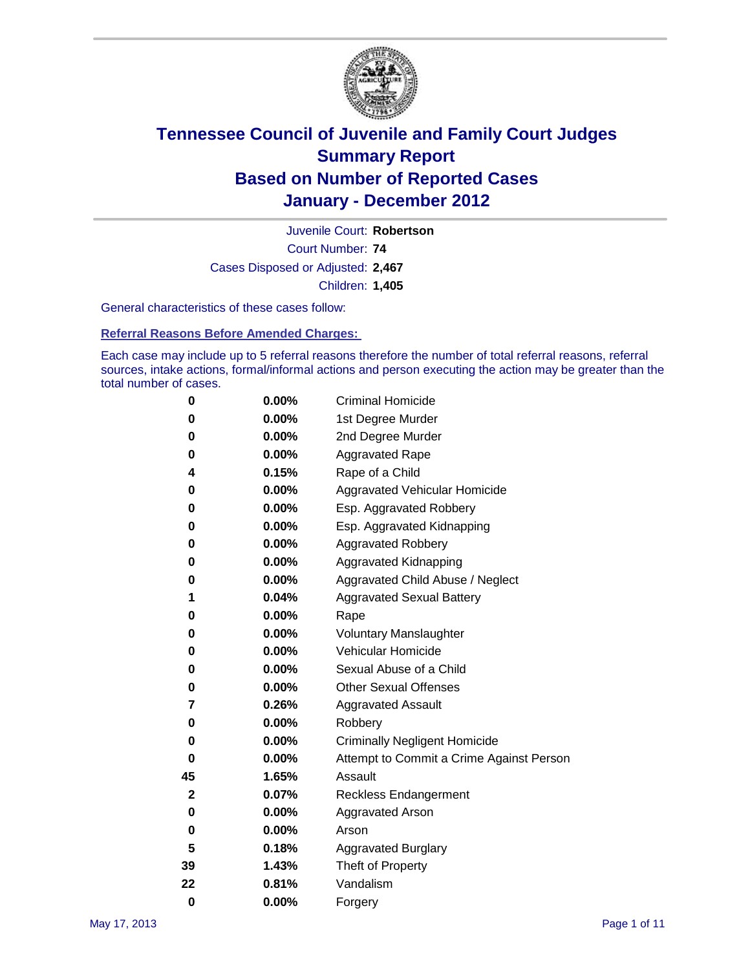

Court Number: **74** Juvenile Court: **Robertson** Cases Disposed or Adjusted: **2,467** Children: **1,405**

General characteristics of these cases follow:

**Referral Reasons Before Amended Charges:** 

Each case may include up to 5 referral reasons therefore the number of total referral reasons, referral sources, intake actions, formal/informal actions and person executing the action may be greater than the total number of cases.

| 0  | 0.00%    | <b>Criminal Homicide</b>                 |
|----|----------|------------------------------------------|
| 0  | 0.00%    | 1st Degree Murder                        |
| 0  | 0.00%    | 2nd Degree Murder                        |
| 0  | 0.00%    | <b>Aggravated Rape</b>                   |
| 4  | 0.15%    | Rape of a Child                          |
| 0  | 0.00%    | Aggravated Vehicular Homicide            |
| 0  | 0.00%    | Esp. Aggravated Robbery                  |
| 0  | 0.00%    | Esp. Aggravated Kidnapping               |
| 0  | 0.00%    | <b>Aggravated Robbery</b>                |
| 0  | 0.00%    | Aggravated Kidnapping                    |
| 0  | 0.00%    | Aggravated Child Abuse / Neglect         |
| 1  | 0.04%    | <b>Aggravated Sexual Battery</b>         |
| 0  | 0.00%    | Rape                                     |
| 0  | $0.00\%$ | <b>Voluntary Manslaughter</b>            |
| 0  | 0.00%    | Vehicular Homicide                       |
| 0  | 0.00%    | Sexual Abuse of a Child                  |
| 0  | 0.00%    | <b>Other Sexual Offenses</b>             |
| 7  | 0.26%    | <b>Aggravated Assault</b>                |
| 0  | $0.00\%$ | Robbery                                  |
| 0  | 0.00%    | <b>Criminally Negligent Homicide</b>     |
| 0  | 0.00%    | Attempt to Commit a Crime Against Person |
| 45 | 1.65%    | Assault                                  |
| 2  | 0.07%    | <b>Reckless Endangerment</b>             |
| 0  | 0.00%    | <b>Aggravated Arson</b>                  |
| 0  | 0.00%    | Arson                                    |
| 5  | 0.18%    | <b>Aggravated Burglary</b>               |
| 39 | 1.43%    | Theft of Property                        |
| 22 | 0.81%    | Vandalism                                |
| 0  | 0.00%    | Forgery                                  |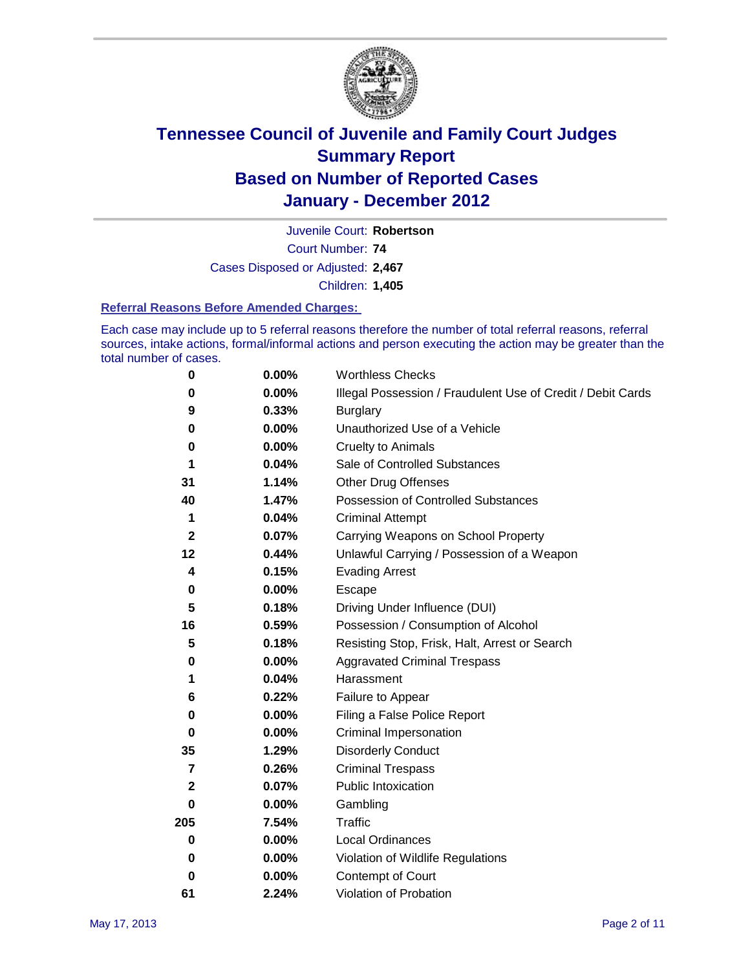

Court Number: **74** Juvenile Court: **Robertson** Cases Disposed or Adjusted: **2,467** Children: **1,405**

#### **Referral Reasons Before Amended Charges:**

Each case may include up to 5 referral reasons therefore the number of total referral reasons, referral sources, intake actions, formal/informal actions and person executing the action may be greater than the total number of cases.

| $\pmb{0}$   | 0.00%    | <b>Worthless Checks</b>                                     |
|-------------|----------|-------------------------------------------------------------|
| 0           | 0.00%    | Illegal Possession / Fraudulent Use of Credit / Debit Cards |
| 9           | 0.33%    | <b>Burglary</b>                                             |
| $\bf{0}$    | $0.00\%$ | Unauthorized Use of a Vehicle                               |
| 0           | $0.00\%$ | <b>Cruelty to Animals</b>                                   |
| 1           | 0.04%    | Sale of Controlled Substances                               |
| 31          | 1.14%    | <b>Other Drug Offenses</b>                                  |
| 40          | 1.47%    | Possession of Controlled Substances                         |
| 1           | 0.04%    | <b>Criminal Attempt</b>                                     |
| $\mathbf 2$ | 0.07%    | Carrying Weapons on School Property                         |
| 12          | 0.44%    | Unlawful Carrying / Possession of a Weapon                  |
| 4           | 0.15%    | <b>Evading Arrest</b>                                       |
| 0           | 0.00%    | Escape                                                      |
| 5           | 0.18%    | Driving Under Influence (DUI)                               |
| 16          | 0.59%    | Possession / Consumption of Alcohol                         |
| 5           | 0.18%    | Resisting Stop, Frisk, Halt, Arrest or Search               |
| 0           | $0.00\%$ | <b>Aggravated Criminal Trespass</b>                         |
| 1           | 0.04%    | Harassment                                                  |
| 6           | 0.22%    | Failure to Appear                                           |
| 0           | $0.00\%$ | Filing a False Police Report                                |
| $\bf{0}$    | 0.00%    | Criminal Impersonation                                      |
| 35          | 1.29%    | <b>Disorderly Conduct</b>                                   |
| 7           | 0.26%    | <b>Criminal Trespass</b>                                    |
| 2           | 0.07%    | <b>Public Intoxication</b>                                  |
| 0           | $0.00\%$ | Gambling                                                    |
| 205         | 7.54%    | Traffic                                                     |
| 0           | $0.00\%$ | Local Ordinances                                            |
| 0           | $0.00\%$ | Violation of Wildlife Regulations                           |
| 0           | $0.00\%$ | Contempt of Court                                           |
| 61          | 2.24%    | Violation of Probation                                      |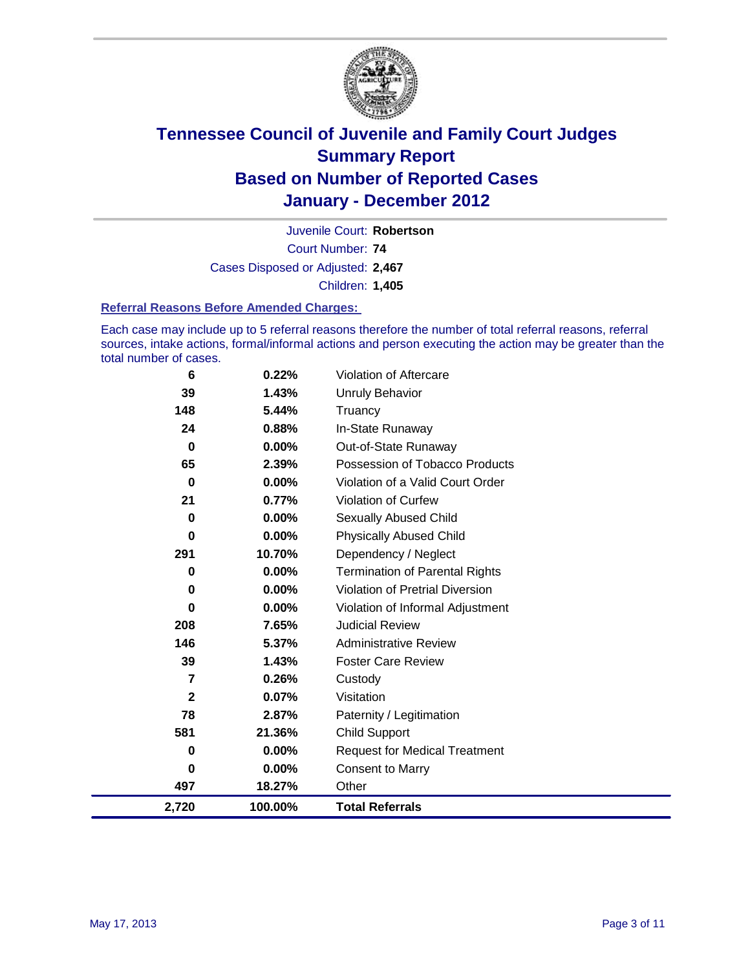

Court Number: **74** Juvenile Court: **Robertson** Cases Disposed or Adjusted: **2,467** Children: **1,405**

#### **Referral Reasons Before Amended Charges:**

Each case may include up to 5 referral reasons therefore the number of total referral reasons, referral sources, intake actions, formal/informal actions and person executing the action may be greater than the total number of cases.

| 6              | 0.22%    | Violation of Aftercare                 |
|----------------|----------|----------------------------------------|
| 39             | 1.43%    | <b>Unruly Behavior</b>                 |
| 148            | 5.44%    | Truancy                                |
| 24             | 0.88%    | In-State Runaway                       |
| $\mathbf 0$    | $0.00\%$ | Out-of-State Runaway                   |
| 65             | 2.39%    | Possession of Tobacco Products         |
| $\mathbf 0$    | 0.00%    | Violation of a Valid Court Order       |
| 21             | 0.77%    | <b>Violation of Curfew</b>             |
| $\mathbf 0$    | 0.00%    | <b>Sexually Abused Child</b>           |
| 0              | $0.00\%$ | <b>Physically Abused Child</b>         |
| 291            | 10.70%   | Dependency / Neglect                   |
| 0              | 0.00%    | <b>Termination of Parental Rights</b>  |
| 0              | $0.00\%$ | <b>Violation of Pretrial Diversion</b> |
| 0              | 0.00%    | Violation of Informal Adjustment       |
| 208            | 7.65%    | <b>Judicial Review</b>                 |
| 146            | 5.37%    | <b>Administrative Review</b>           |
| 39             | 1.43%    | <b>Foster Care Review</b>              |
| $\overline{7}$ | 0.26%    | Custody                                |
| $\mathbf{2}$   | 0.07%    | Visitation                             |
| 78             | 2.87%    | Paternity / Legitimation               |
| 581            | 21.36%   | <b>Child Support</b>                   |
| 0              | $0.00\%$ | <b>Request for Medical Treatment</b>   |
| 0              | 0.00%    | <b>Consent to Marry</b>                |
| 497            | 18.27%   | Other                                  |
| 2,720          | 100.00%  | <b>Total Referrals</b>                 |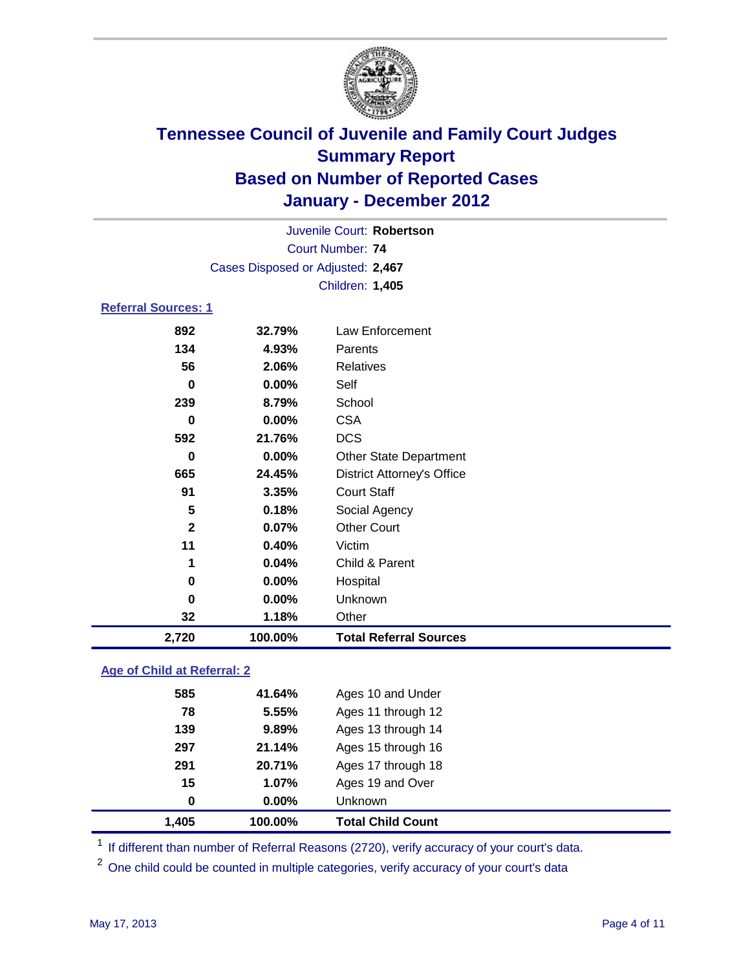

| Juvenile Court: Robertson  |                                   |                                   |  |  |
|----------------------------|-----------------------------------|-----------------------------------|--|--|
| <b>Court Number: 74</b>    |                                   |                                   |  |  |
|                            | Cases Disposed or Adjusted: 2,467 |                                   |  |  |
|                            |                                   | Children: 1,405                   |  |  |
| <b>Referral Sources: 1</b> |                                   |                                   |  |  |
| 892                        | 32.79%                            | Law Enforcement                   |  |  |
| 134                        | 4.93%                             | Parents                           |  |  |
| 56                         | 2.06%                             | <b>Relatives</b>                  |  |  |
| $\bf{0}$                   | 0.00%                             | Self                              |  |  |
| 239                        | 8.79%                             | School                            |  |  |
| 0                          | $0.00\%$                          | <b>CSA</b>                        |  |  |
| 592                        | 21.76%                            | <b>DCS</b>                        |  |  |
| $\bf{0}$                   | $0.00\%$                          | <b>Other State Department</b>     |  |  |
| 665                        | 24.45%                            | <b>District Attorney's Office</b> |  |  |
| 91                         | 3.35%                             | <b>Court Staff</b>                |  |  |
| 5                          | 0.18%                             | Social Agency                     |  |  |
| $\mathbf{2}$               | 0.07%                             | <b>Other Court</b>                |  |  |
| 11                         | 0.40%                             | Victim                            |  |  |
| 1                          | 0.04%                             | Child & Parent                    |  |  |
| 0                          | $0.00\%$                          | Hospital                          |  |  |
| 0                          | 0.00%                             | Unknown                           |  |  |
| 32                         | 1.18%                             | Other                             |  |  |

### **Age of Child at Referral: 2**

| 1.405 | 100.00%  | <b>Total Child Count</b> |
|-------|----------|--------------------------|
| 0     | $0.00\%$ | Unknown                  |
| 15    | 1.07%    | Ages 19 and Over         |
| 291   | 20.71%   | Ages 17 through 18       |
| 297   | 21.14%   | Ages 15 through 16       |
| 139   | 9.89%    | Ages 13 through 14       |
| 78    | 5.55%    | Ages 11 through 12       |
| 585   | 41.64%   | Ages 10 and Under        |
|       |          |                          |

<sup>1</sup> If different than number of Referral Reasons (2720), verify accuracy of your court's data.

<sup>2</sup> One child could be counted in multiple categories, verify accuracy of your court's data

**2,720 100.00% Total Referral Sources**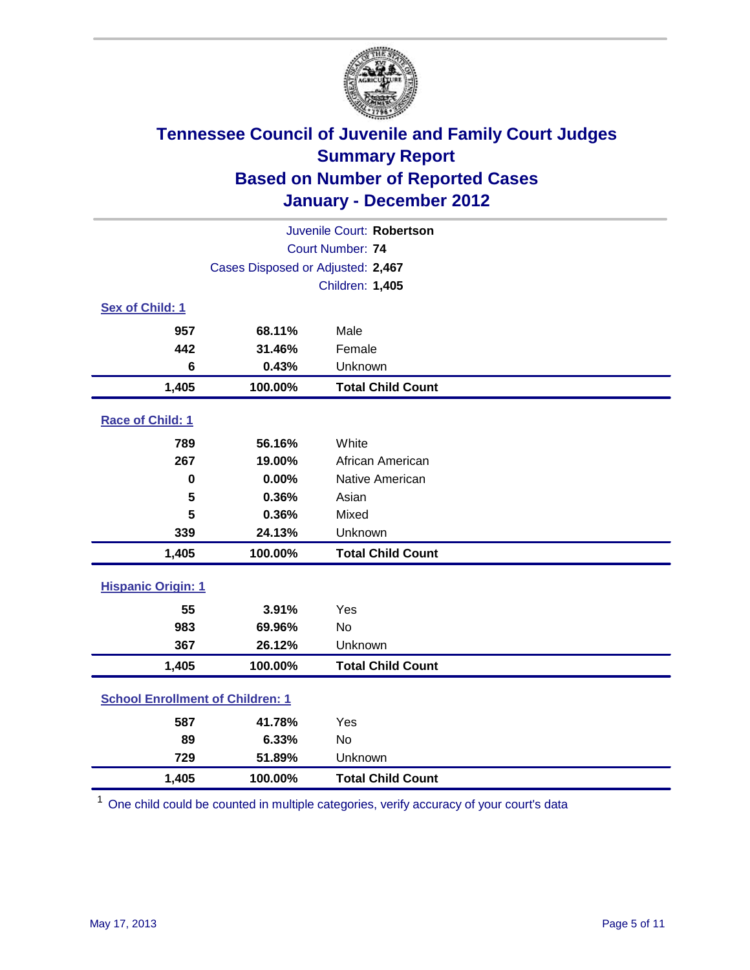

| Juvenile Court: Robertson               |                                   |                          |  |  |
|-----------------------------------------|-----------------------------------|--------------------------|--|--|
|                                         | Court Number: 74                  |                          |  |  |
|                                         | Cases Disposed or Adjusted: 2,467 |                          |  |  |
|                                         |                                   | Children: 1,405          |  |  |
| Sex of Child: 1                         |                                   |                          |  |  |
| 957                                     | 68.11%                            | Male                     |  |  |
| 442                                     | 31.46%                            | Female                   |  |  |
| 6                                       | 0.43%                             | Unknown                  |  |  |
| 1,405                                   | 100.00%                           | <b>Total Child Count</b> |  |  |
| Race of Child: 1                        |                                   |                          |  |  |
| 789                                     | 56.16%                            | White                    |  |  |
| 267                                     | 19.00%                            | African American         |  |  |
| $\mathbf 0$                             | 0.00%                             | Native American          |  |  |
| 5                                       | 0.36%                             | Asian                    |  |  |
| 5                                       | 0.36%                             | Mixed                    |  |  |
| 339                                     | 24.13%                            | Unknown                  |  |  |
| 1,405                                   | 100.00%                           | <b>Total Child Count</b> |  |  |
| <b>Hispanic Origin: 1</b>               |                                   |                          |  |  |
| 55                                      | 3.91%                             | Yes                      |  |  |
| 983                                     | 69.96%                            | <b>No</b>                |  |  |
| 367                                     | 26.12%                            | Unknown                  |  |  |
| 1,405                                   | 100.00%                           | <b>Total Child Count</b> |  |  |
| <b>School Enrollment of Children: 1</b> |                                   |                          |  |  |
| 587                                     | 41.78%                            | Yes                      |  |  |
| 89                                      | 6.33%                             | <b>No</b>                |  |  |
| 729                                     | 51.89%                            | Unknown                  |  |  |
| 1,405                                   | 100.00%                           | <b>Total Child Count</b> |  |  |

<sup>1</sup> One child could be counted in multiple categories, verify accuracy of your court's data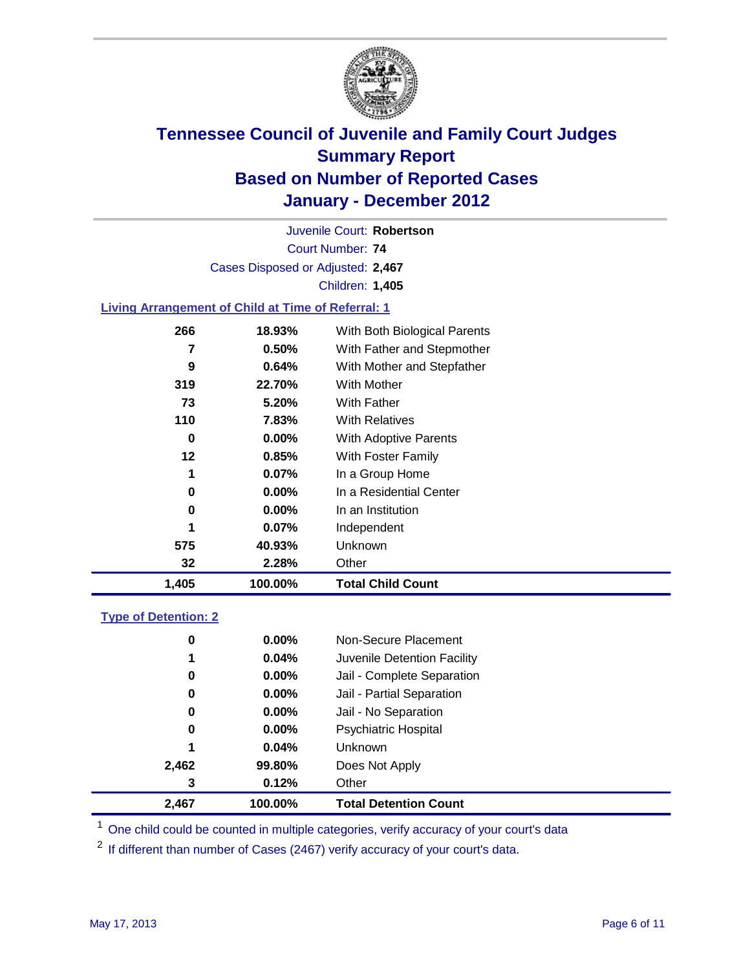

Court Number: **74** Juvenile Court: **Robertson** Cases Disposed or Adjusted: **2,467** Children: **1,405**

### **Living Arrangement of Child at Time of Referral: 1**

| 1,405 | 100.00%  | <b>Total Child Count</b>     |
|-------|----------|------------------------------|
| 32    | 2.28%    | Other                        |
| 575   | 40.93%   | Unknown                      |
| 1     | 0.07%    | Independent                  |
| 0     | $0.00\%$ | In an Institution            |
| 0     | $0.00\%$ | In a Residential Center      |
| 1     | 0.07%    | In a Group Home              |
| 12    | 0.85%    | With Foster Family           |
| 0     | $0.00\%$ | <b>With Adoptive Parents</b> |
| 110   | 7.83%    | <b>With Relatives</b>        |
| 73    | 5.20%    | With Father                  |
| 319   | 22.70%   | With Mother                  |
| 9     | 0.64%    | With Mother and Stepfather   |
| 7     | 0.50%    | With Father and Stepmother   |
| 266   | 18.93%   | With Both Biological Parents |
|       |          |                              |

#### **Type of Detention: 2**

| 2,467 | 100.00%  | <b>Total Detention Count</b> |  |
|-------|----------|------------------------------|--|
| 3     | 0.12%    | Other                        |  |
| 2,462 | 99.80%   | Does Not Apply               |  |
| 1     | 0.04%    | <b>Unknown</b>               |  |
| 0     | 0.00%    | <b>Psychiatric Hospital</b>  |  |
| 0     | 0.00%    | Jail - No Separation         |  |
| 0     | $0.00\%$ | Jail - Partial Separation    |  |
| 0     | $0.00\%$ | Jail - Complete Separation   |  |
| 1     | 0.04%    | Juvenile Detention Facility  |  |
| 0     | $0.00\%$ | Non-Secure Placement         |  |
|       |          |                              |  |

<sup>1</sup> One child could be counted in multiple categories, verify accuracy of your court's data

<sup>2</sup> If different than number of Cases (2467) verify accuracy of your court's data.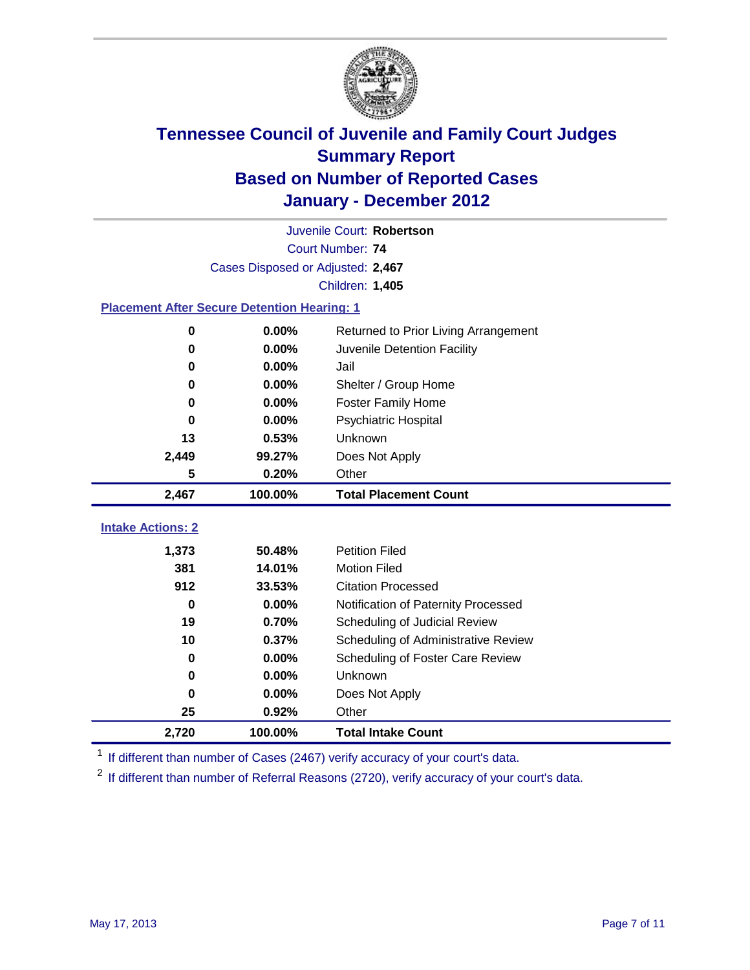

|                                                    | Juvenile Court: Robertson         |                                      |  |  |  |
|----------------------------------------------------|-----------------------------------|--------------------------------------|--|--|--|
|                                                    | Court Number: 74                  |                                      |  |  |  |
|                                                    | Cases Disposed or Adjusted: 2,467 |                                      |  |  |  |
|                                                    |                                   | Children: 1,405                      |  |  |  |
| <b>Placement After Secure Detention Hearing: 1</b> |                                   |                                      |  |  |  |
| 0                                                  | 0.00%                             | Returned to Prior Living Arrangement |  |  |  |
| $\bf{0}$                                           | 0.00%                             | Juvenile Detention Facility          |  |  |  |
| 0                                                  | 0.00%                             | Jail                                 |  |  |  |
| 0                                                  | 0.00%                             | Shelter / Group Home                 |  |  |  |
| $\bf{0}$                                           | 0.00%                             | <b>Foster Family Home</b>            |  |  |  |
| 0                                                  | 0.00%                             | Psychiatric Hospital                 |  |  |  |
| 13                                                 | 0.53%                             | Unknown                              |  |  |  |
| 2,449                                              | 99.27%                            | Does Not Apply                       |  |  |  |
| 5                                                  | 0.20%                             | Other                                |  |  |  |
| 2,467                                              | 100.00%                           | <b>Total Placement Count</b>         |  |  |  |
| <b>Intake Actions: 2</b>                           |                                   |                                      |  |  |  |
|                                                    |                                   |                                      |  |  |  |
| 1,373                                              | 50.48%                            | <b>Petition Filed</b>                |  |  |  |
| 381                                                | 14.01%                            | <b>Motion Filed</b>                  |  |  |  |
| 912                                                | 33.53%                            | <b>Citation Processed</b>            |  |  |  |
| $\bf{0}$                                           | 0.00%                             | Notification of Paternity Processed  |  |  |  |
| 19                                                 | 0.70%                             | Scheduling of Judicial Review        |  |  |  |
| 10                                                 | 0.37%                             | Scheduling of Administrative Review  |  |  |  |
| 0                                                  | 0.00%                             | Scheduling of Foster Care Review     |  |  |  |
| $\bf{0}$                                           | 0.00%                             | Unknown                              |  |  |  |
| $\bf{0}$                                           | 0.00%                             | Does Not Apply                       |  |  |  |
| 25                                                 | 0.92%                             | Other                                |  |  |  |
| 2,720                                              | 100.00%                           | <b>Total Intake Count</b>            |  |  |  |

<sup>1</sup> If different than number of Cases (2467) verify accuracy of your court's data.

<sup>2</sup> If different than number of Referral Reasons (2720), verify accuracy of your court's data.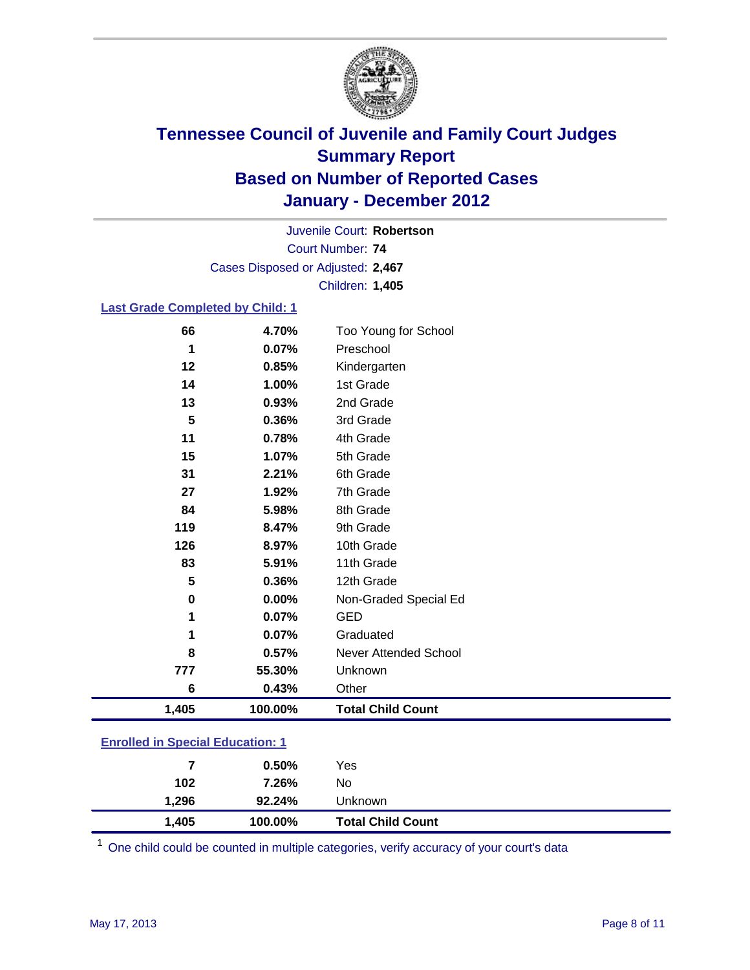

Court Number: **74** Juvenile Court: **Robertson** Cases Disposed or Adjusted: **2,467** Children: **1,405**

#### **Last Grade Completed by Child: 1**

| 66                                      | 4.70%   | Too Young for School         |  |
|-----------------------------------------|---------|------------------------------|--|
| 1                                       | 0.07%   | Preschool                    |  |
| 12                                      | 0.85%   | Kindergarten                 |  |
| 14                                      | 1.00%   | 1st Grade                    |  |
| 13                                      | 0.93%   | 2nd Grade                    |  |
| 5                                       | 0.36%   | 3rd Grade                    |  |
| 11                                      | 0.78%   | 4th Grade                    |  |
| 15                                      | 1.07%   | 5th Grade                    |  |
| 31                                      | 2.21%   | 6th Grade                    |  |
| 27                                      | 1.92%   | 7th Grade                    |  |
| 84                                      | 5.98%   | 8th Grade                    |  |
| 119                                     | 8.47%   | 9th Grade                    |  |
| 126                                     | 8.97%   | 10th Grade                   |  |
| 83                                      | 5.91%   | 11th Grade                   |  |
| 5                                       | 0.36%   | 12th Grade                   |  |
| 0                                       | 0.00%   | Non-Graded Special Ed        |  |
| 1                                       | 0.07%   | <b>GED</b>                   |  |
| 1                                       | 0.07%   | Graduated                    |  |
| 8                                       | 0.57%   | <b>Never Attended School</b> |  |
| 777                                     | 55.30%  | Unknown                      |  |
| 6                                       | 0.43%   | Other                        |  |
| 1,405                                   | 100.00% | <b>Total Child Count</b>     |  |
| <b>Enrolled in Special Education: 1</b> |         |                              |  |

| 1,405 | 100.00% | <b>Total Child Count</b> |  |  |
|-------|---------|--------------------------|--|--|
| 1.296 | 92.24%  | <b>Unknown</b>           |  |  |
| 102   | 7.26%   | No                       |  |  |
|       | 0.50%   | Yes                      |  |  |
|       |         |                          |  |  |

One child could be counted in multiple categories, verify accuracy of your court's data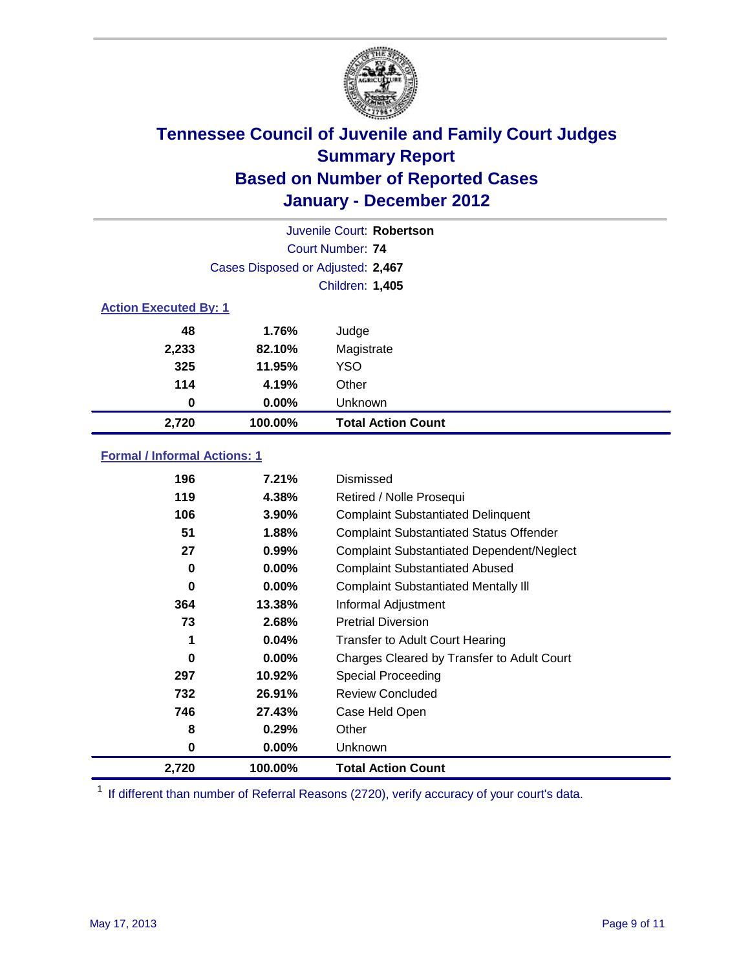

|                              | Juvenile Court: Robertson         |                           |  |  |  |
|------------------------------|-----------------------------------|---------------------------|--|--|--|
|                              | Court Number: 74                  |                           |  |  |  |
|                              | Cases Disposed or Adjusted: 2,467 |                           |  |  |  |
|                              |                                   | Children: 1,405           |  |  |  |
| <b>Action Executed By: 1</b> |                                   |                           |  |  |  |
| 48                           | 1.76%                             | Judge                     |  |  |  |
| 2,233                        | 82.10%                            | Magistrate                |  |  |  |
| 325                          | 11.95%                            | <b>YSO</b>                |  |  |  |
| 114                          | 4.19%                             | Other                     |  |  |  |
| 0                            | $0.00\%$                          | Unknown                   |  |  |  |
| 2,720                        | 100.00%                           | <b>Total Action Count</b> |  |  |  |

### **Formal / Informal Actions: 1**

| 196   | 7.21%    | Dismissed                                        |
|-------|----------|--------------------------------------------------|
| 119   | 4.38%    | Retired / Nolle Prosequi                         |
| 106   | $3.90\%$ | <b>Complaint Substantiated Delinquent</b>        |
| 51    | 1.88%    | <b>Complaint Substantiated Status Offender</b>   |
| 27    | 0.99%    | <b>Complaint Substantiated Dependent/Neglect</b> |
| 0     | $0.00\%$ | <b>Complaint Substantiated Abused</b>            |
| 0     | $0.00\%$ | <b>Complaint Substantiated Mentally III</b>      |
| 364   | 13.38%   | Informal Adjustment                              |
| 73    | 2.68%    | <b>Pretrial Diversion</b>                        |
| 1     | 0.04%    | <b>Transfer to Adult Court Hearing</b>           |
| 0     | $0.00\%$ | Charges Cleared by Transfer to Adult Court       |
| 297   | 10.92%   | Special Proceeding                               |
| 732   | 26.91%   | <b>Review Concluded</b>                          |
| 746   | 27.43%   | Case Held Open                                   |
| 8     | 0.29%    | Other                                            |
| 0     | $0.00\%$ | <b>Unknown</b>                                   |
| 2,720 | 100.00%  | <b>Total Action Count</b>                        |

<sup>1</sup> If different than number of Referral Reasons (2720), verify accuracy of your court's data.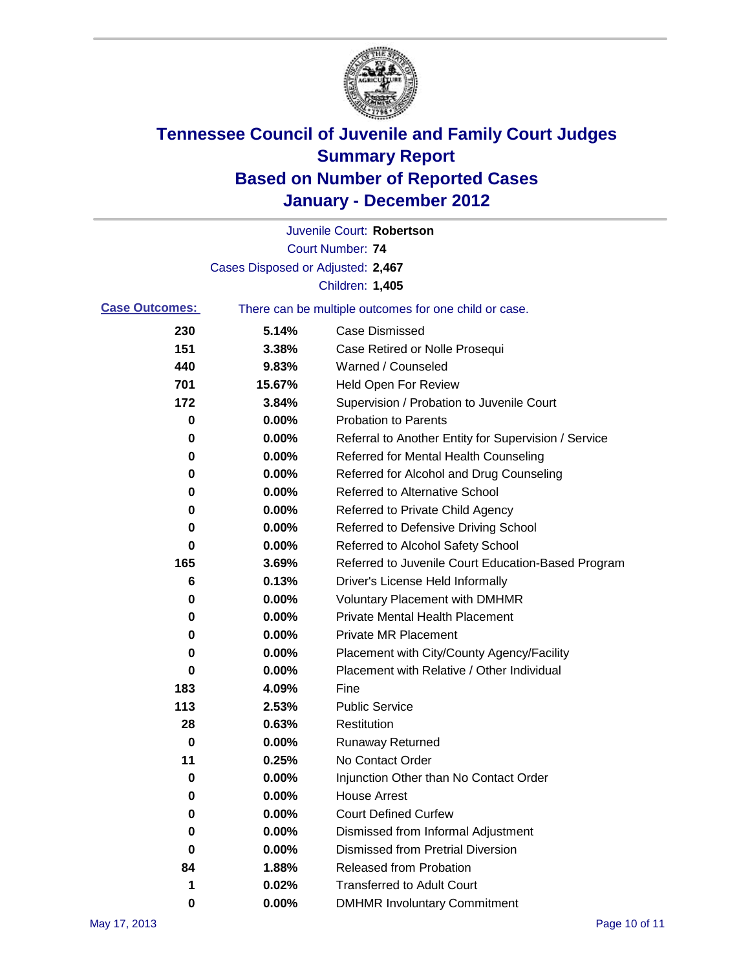

|                       |                                   | Juvenile Court: Robertson                             |
|-----------------------|-----------------------------------|-------------------------------------------------------|
|                       |                                   | <b>Court Number: 74</b>                               |
|                       | Cases Disposed or Adjusted: 2,467 |                                                       |
|                       |                                   | Children: 1,405                                       |
| <b>Case Outcomes:</b> |                                   | There can be multiple outcomes for one child or case. |
| 230                   | 5.14%                             | <b>Case Dismissed</b>                                 |
| 151                   | 3.38%                             | Case Retired or Nolle Prosequi                        |
| 440                   | 9.83%                             | Warned / Counseled                                    |
| 701                   | 15.67%                            | <b>Held Open For Review</b>                           |
| 172                   | 3.84%                             | Supervision / Probation to Juvenile Court             |
| 0                     | 0.00%                             | <b>Probation to Parents</b>                           |
| 0                     | 0.00%                             | Referral to Another Entity for Supervision / Service  |
| 0                     | 0.00%                             | Referred for Mental Health Counseling                 |
| 0                     | 0.00%                             | Referred for Alcohol and Drug Counseling              |
| 0                     | 0.00%                             | <b>Referred to Alternative School</b>                 |
| 0                     | 0.00%                             | Referred to Private Child Agency                      |
| 0                     | 0.00%                             | Referred to Defensive Driving School                  |
| 0                     | 0.00%                             | Referred to Alcohol Safety School                     |
| 165                   | 3.69%                             | Referred to Juvenile Court Education-Based Program    |
| 6                     | 0.13%                             | Driver's License Held Informally                      |
| 0                     | 0.00%                             | <b>Voluntary Placement with DMHMR</b>                 |
| 0                     | 0.00%                             | <b>Private Mental Health Placement</b>                |
| 0                     | 0.00%                             | <b>Private MR Placement</b>                           |
| 0                     | 0.00%                             | Placement with City/County Agency/Facility            |
| 0                     | 0.00%                             | Placement with Relative / Other Individual            |
| 183                   | 4.09%                             | Fine                                                  |
| 113                   | 2.53%                             | <b>Public Service</b>                                 |
| 28                    | 0.63%                             | Restitution                                           |
| 0                     | 0.00%                             | <b>Runaway Returned</b>                               |
| 11                    | 0.25%                             | No Contact Order                                      |
| 0                     | 0.00%                             | Injunction Other than No Contact Order                |
| 0                     | 0.00%                             | <b>House Arrest</b>                                   |
| 0                     | 0.00%                             | <b>Court Defined Curfew</b>                           |
| 0                     | 0.00%                             | Dismissed from Informal Adjustment                    |
| 0                     | 0.00%                             | <b>Dismissed from Pretrial Diversion</b>              |
| 84                    | 1.88%                             | <b>Released from Probation</b>                        |
| 1                     | 0.02%                             | <b>Transferred to Adult Court</b>                     |
| 0                     | $0.00\%$                          | <b>DMHMR Involuntary Commitment</b>                   |